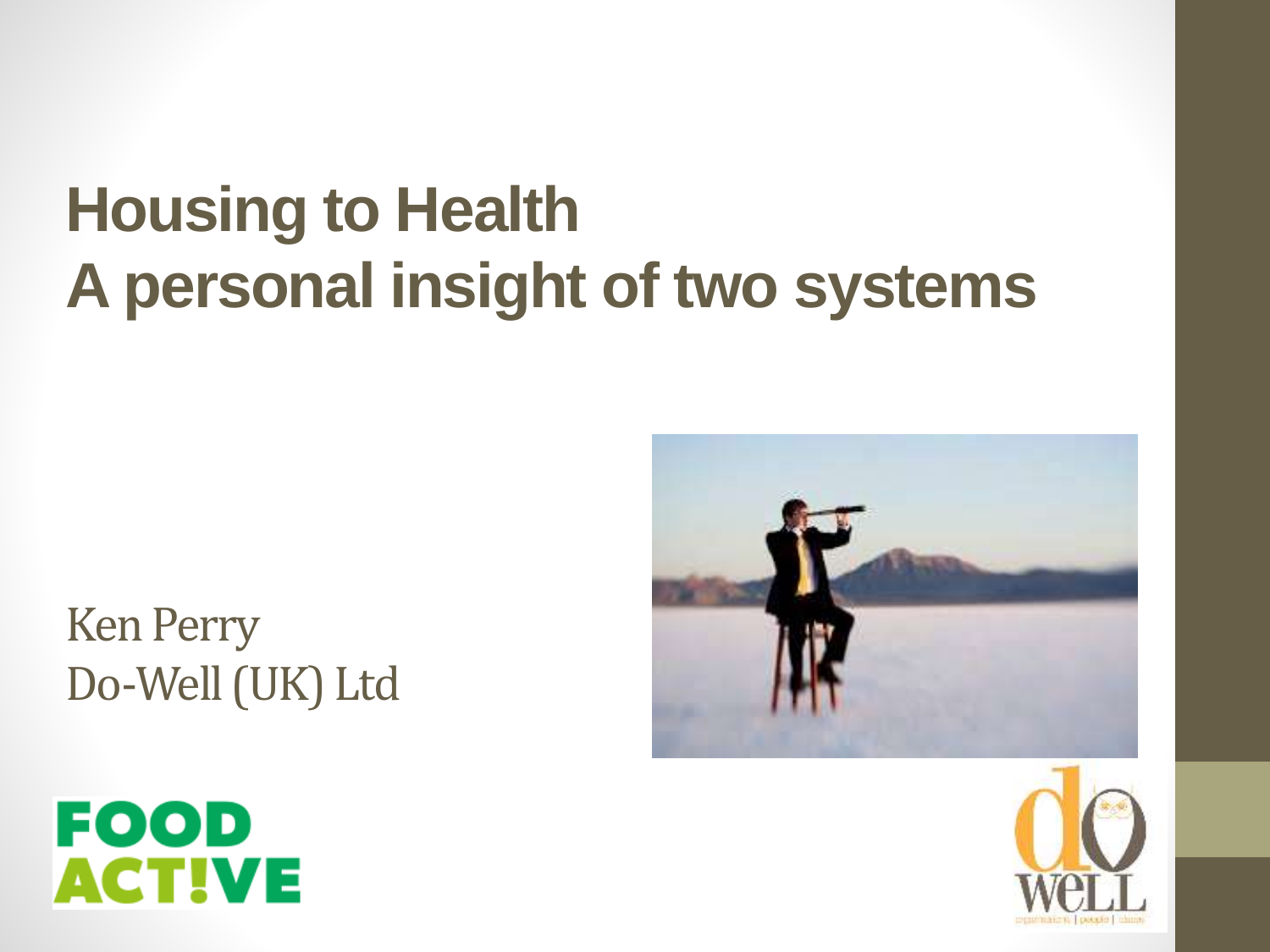## **Housing to Health A personal insight of two systems**

Ken Perry Do-Well (UK) Ltd





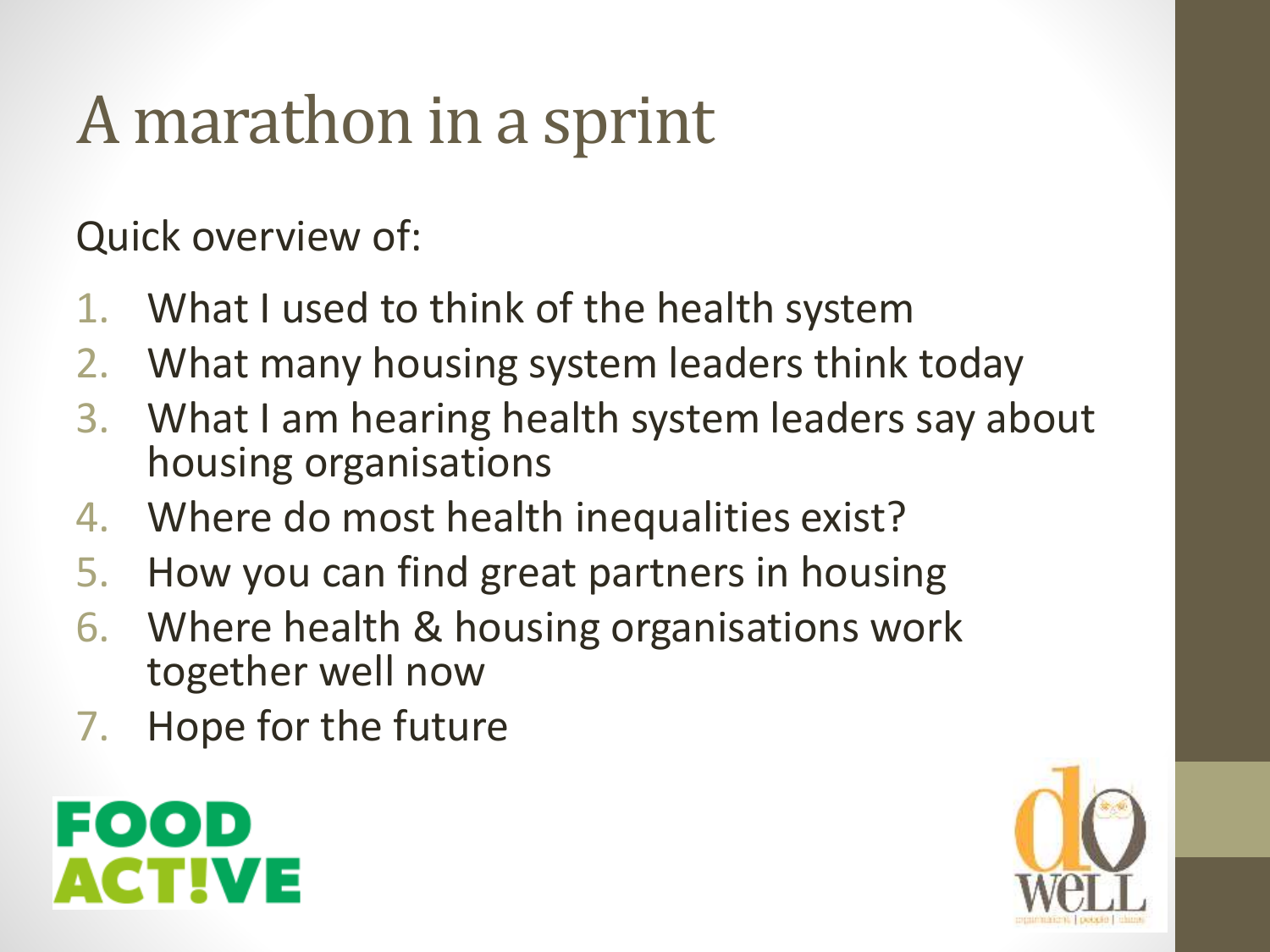# A marathon in a sprint

Quick overview of:

- 1. What I used to think of the health system
- 2. What many housing system leaders think today
- 3. What I am hearing health system leaders say about housing organisations
- 4. Where do most health inequalities exist?
- 5. How you can find great partners in housing
- 6. Where health & housing organisations work together well now
- 7. Hope for the future



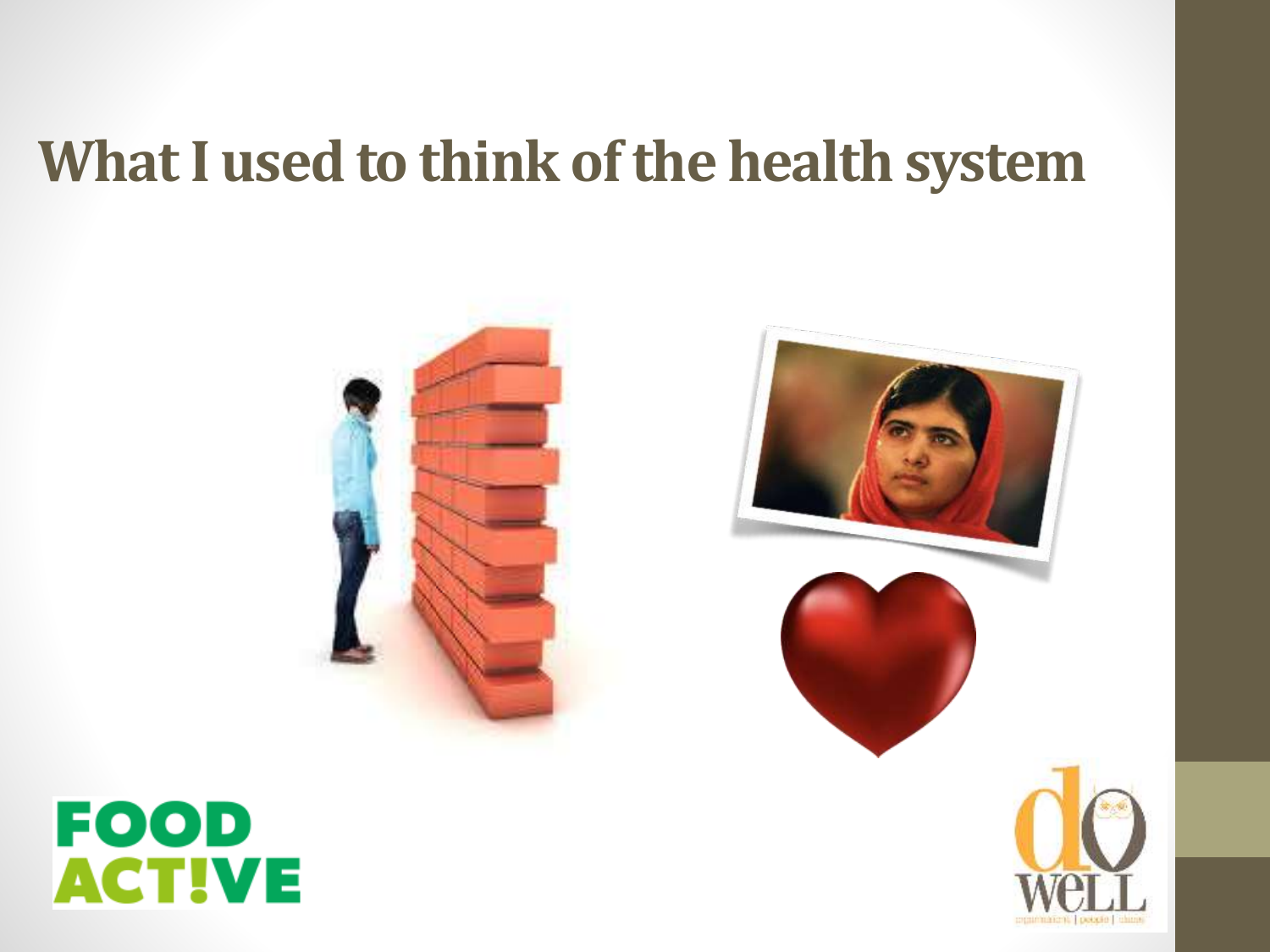#### **What I used to think of the health system**





#### **FOOD ACTIVE**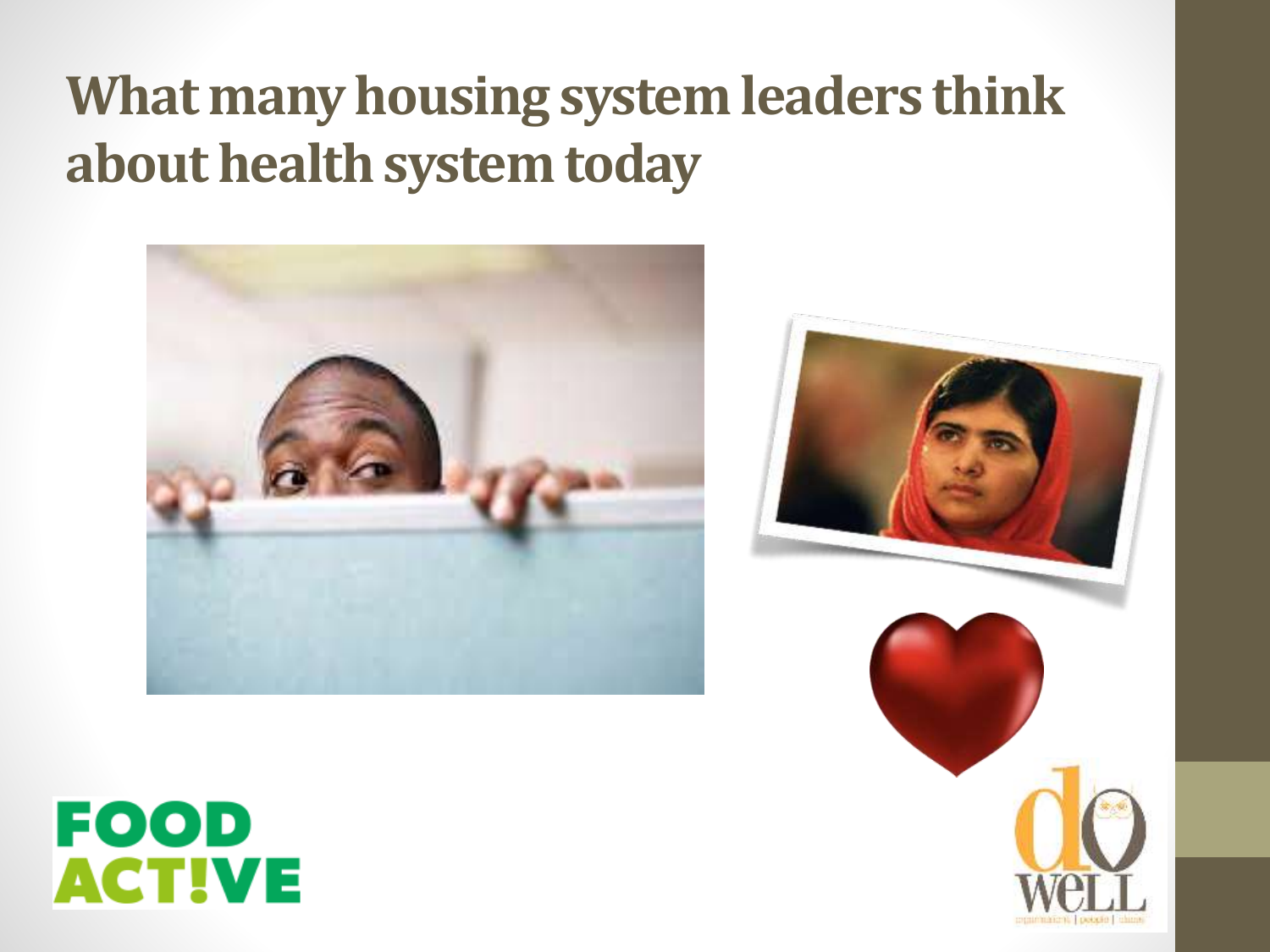#### **What many housing system leaders think about health system today**





#### **FOOD ACTIVE**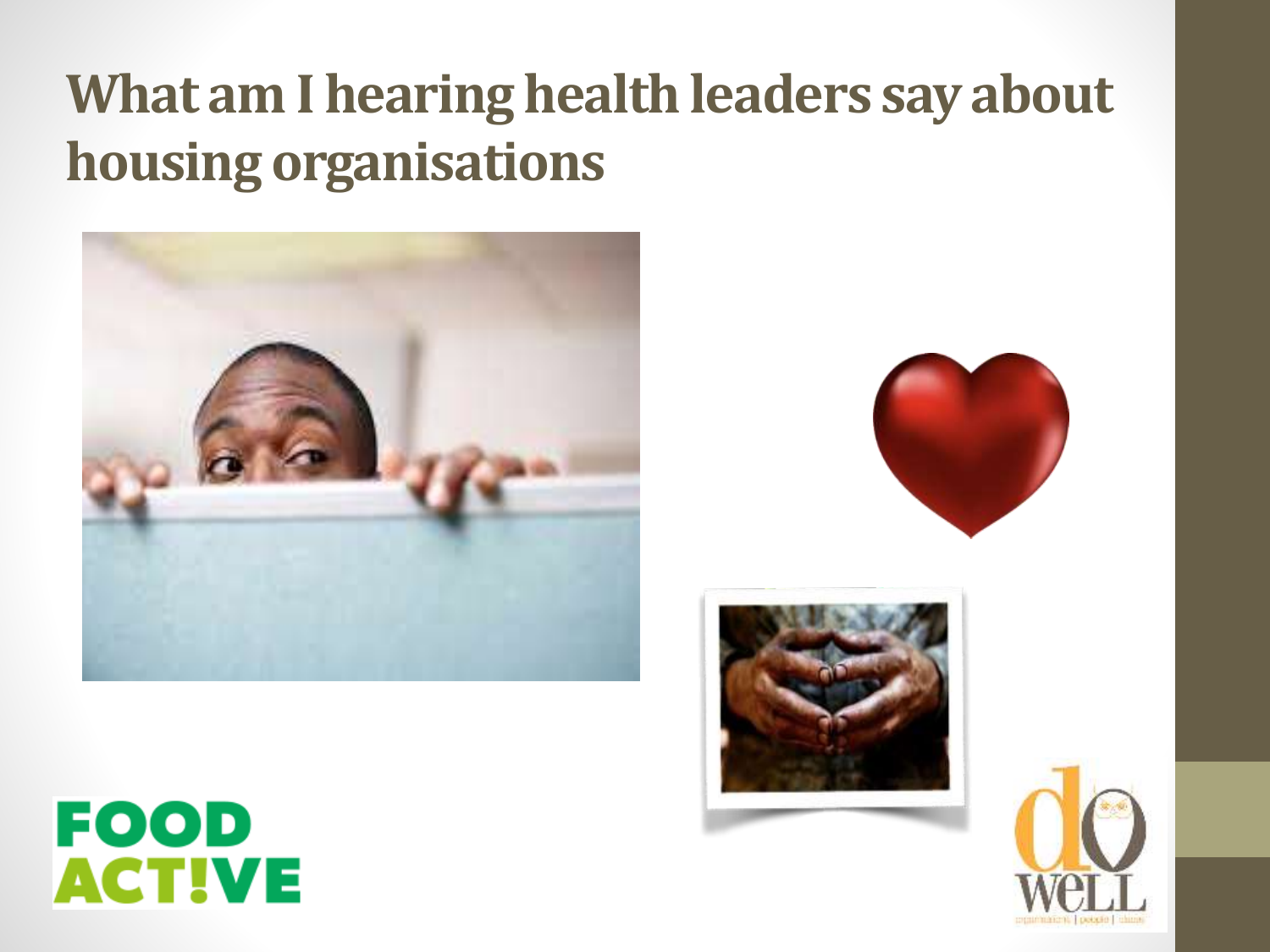#### **What am I hearing health leaders say about housing organisations**









#### **FOOD ACTIVE**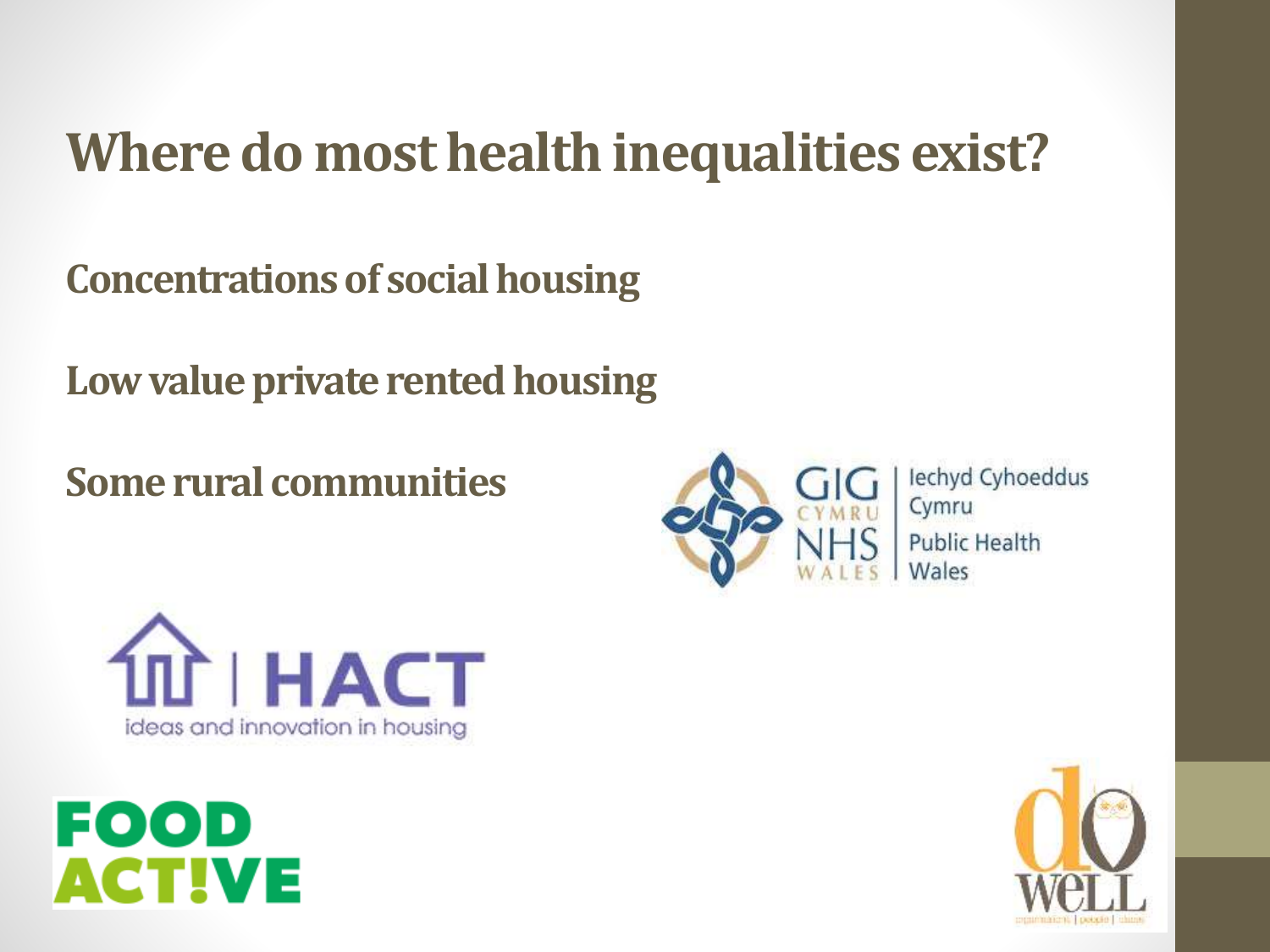#### **Where do most health inequalities exist?**

**Concentrations of social housing**

**Low value private rented housing**

**Some rural communities**



lechyd Cyhoeddus Cymru **Public Health** Wales





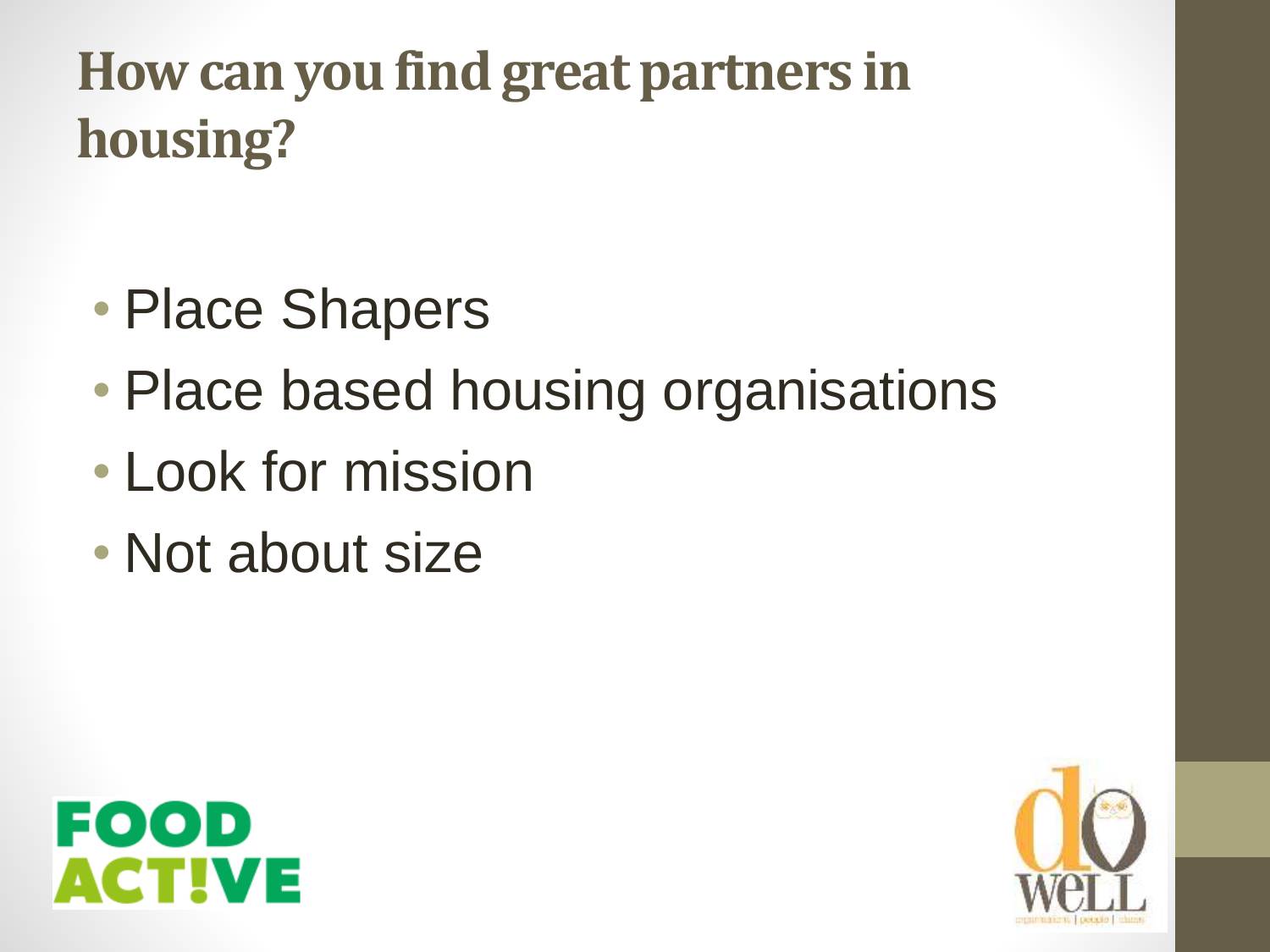#### **How can you find great partners in housing?**

- Place Shapers
- Place based housing organisations
- Look for mission
- Not about size



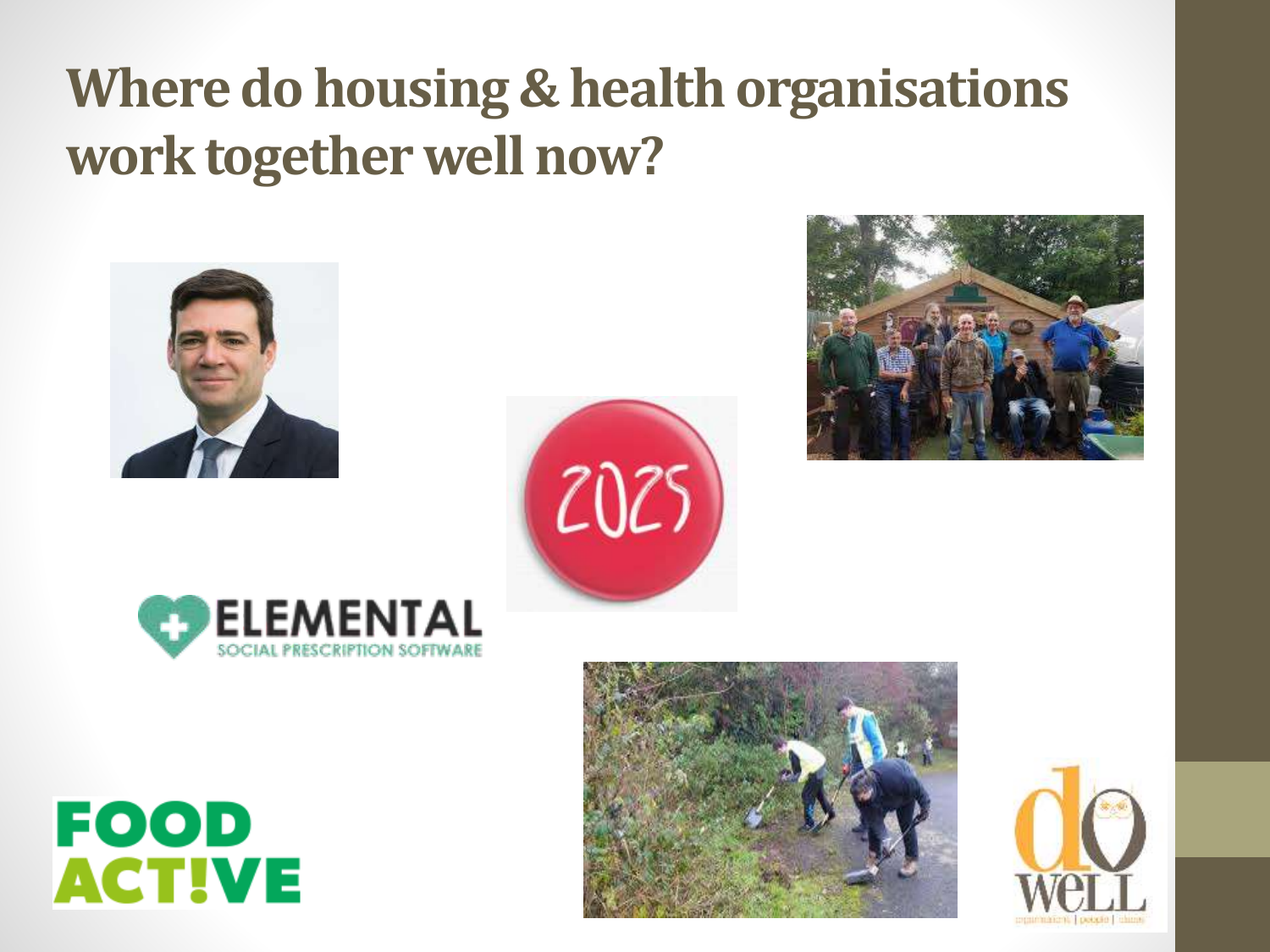#### **Where do housing & health organisations work together well now?**



**FOOD** 

**ACTIVE** 









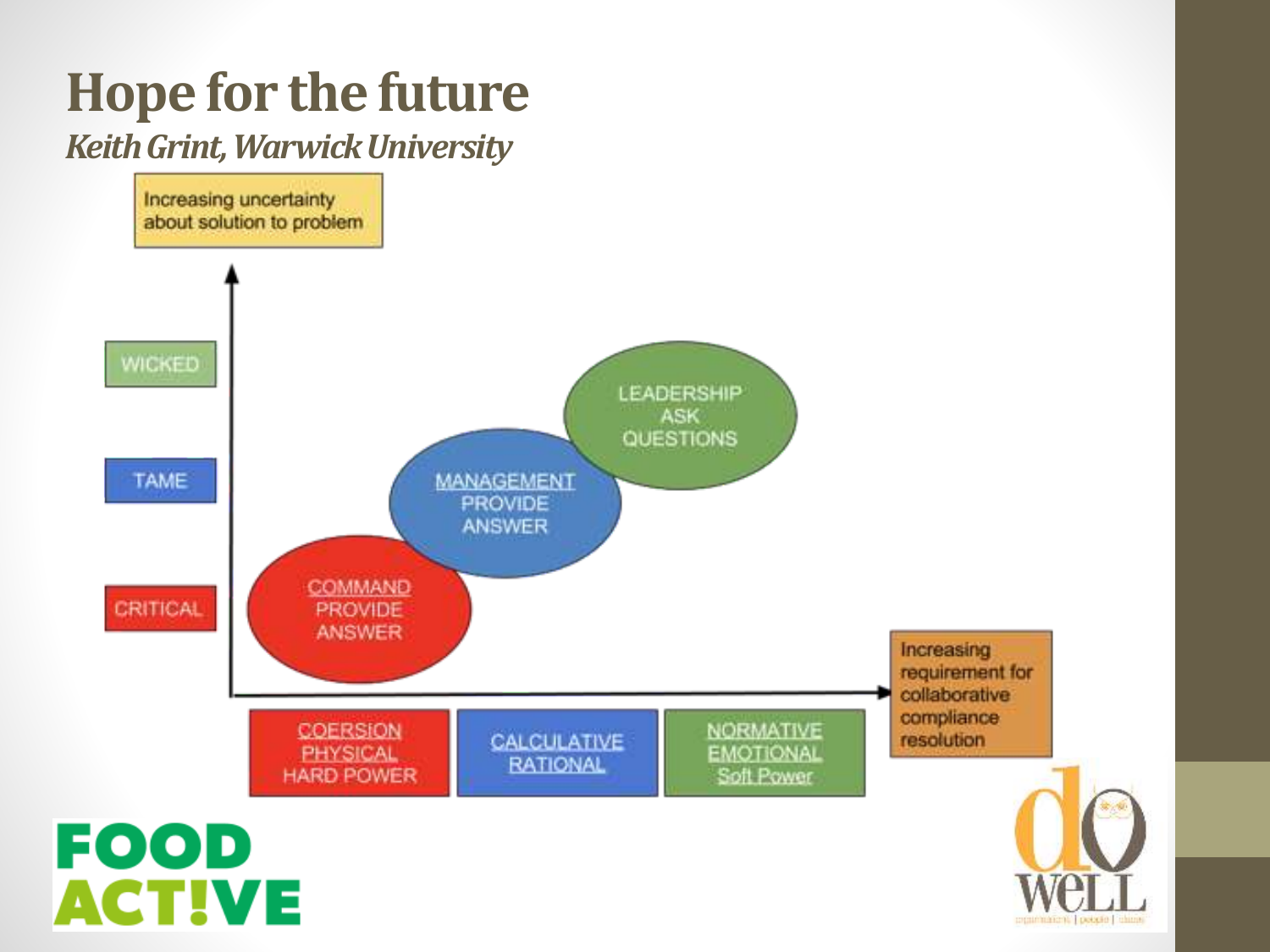### **Hope for the future**

#### *Keith Grint, Warwick University*

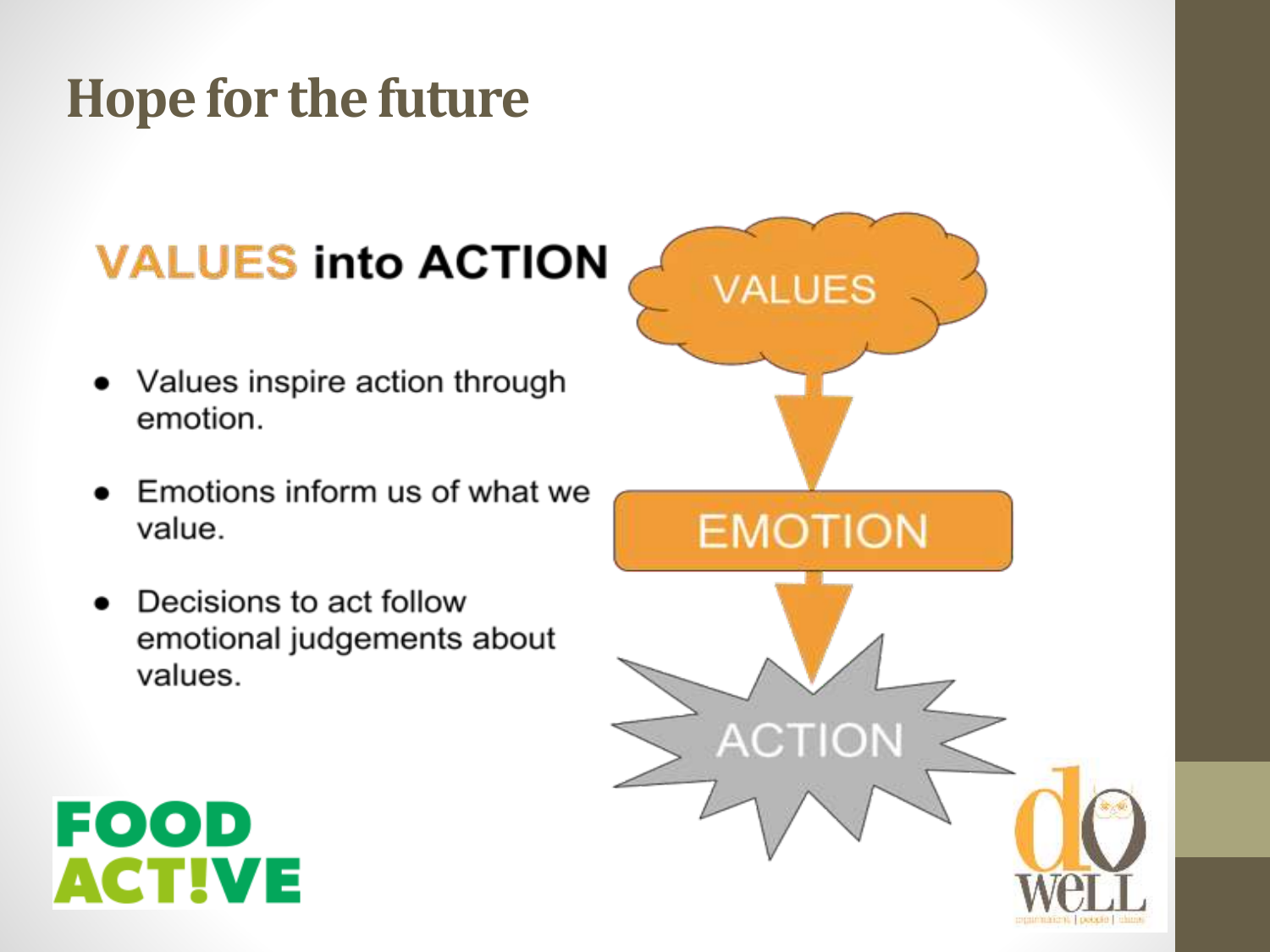#### **Hope for the future**

#### **VALUES into ACTION**

- Values inspire action through emotion.
- Emotions inform us of what we value.
- Decisions to act follow emotional judgements about values.



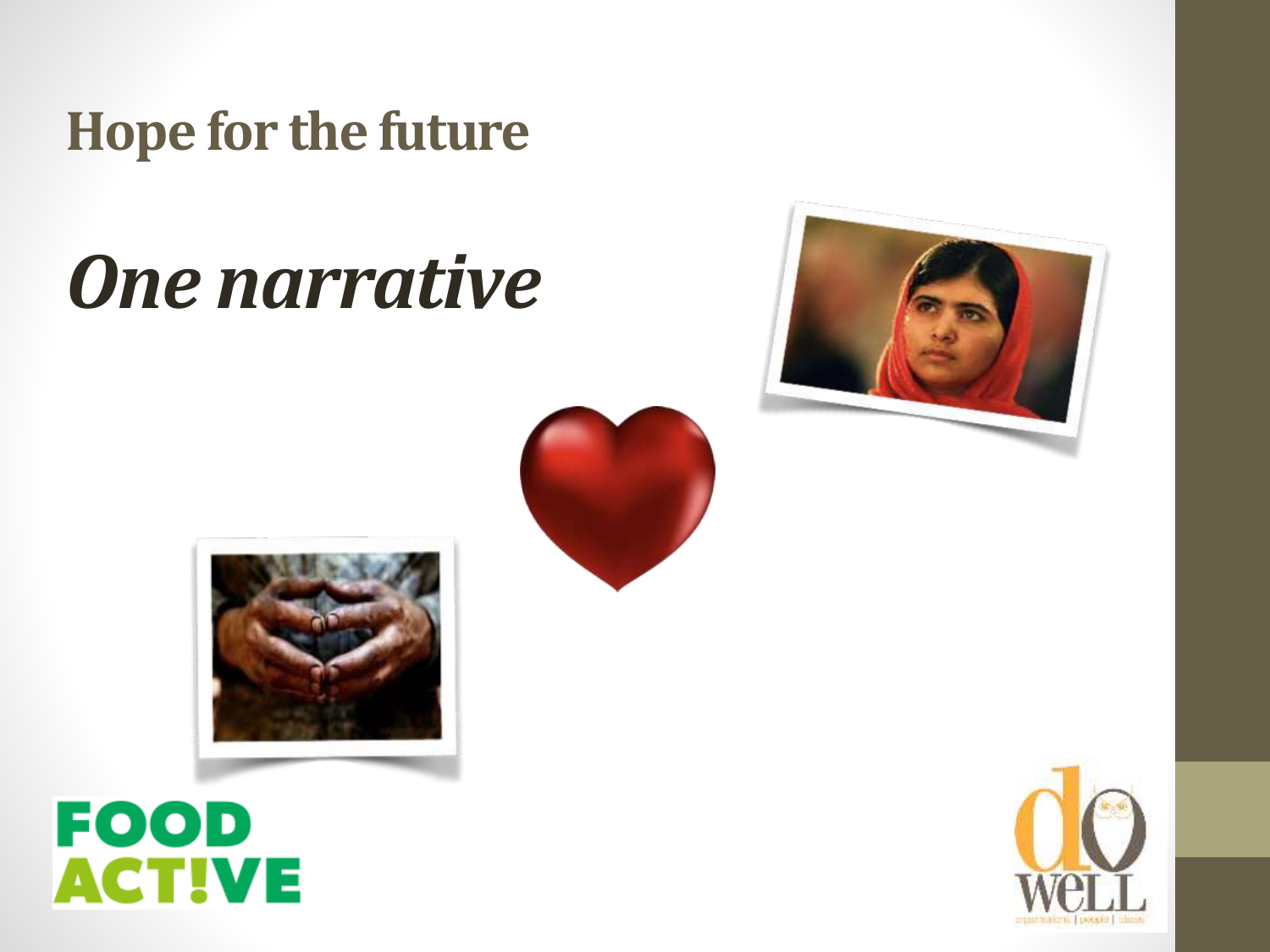**Hope for the future** 

# *One narrative*